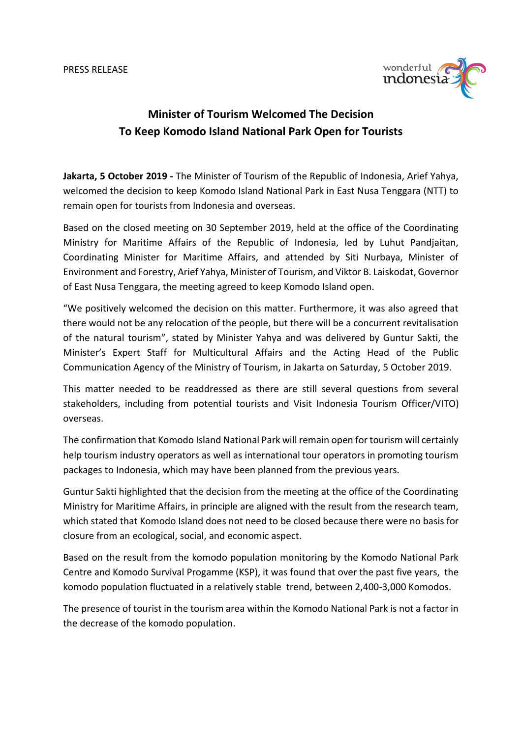

## **Minister of Tourism Welcomed The Decision To Keep Komodo Island National Park Open for Tourists**

**Jakarta, 5 October 2019 -** The Minister of Tourism of the Republic of Indonesia, Arief Yahya, welcomed the decision to keep Komodo Island National Park in East Nusa Tenggara (NTT) to remain open for tourists from Indonesia and overseas.

Based on the closed meeting on 30 September 2019, held at the office of the Coordinating Ministry for Maritime Affairs of the Republic of Indonesia, led by Luhut Pandjaitan, Coordinating Minister for Maritime Affairs, and attended by Siti Nurbaya, Minister of Environment and Forestry, Arief Yahya, Minister of Tourism, and Viktor B. Laiskodat, Governor of East Nusa Tenggara, the meeting agreed to keep Komodo Island open.

"We positively welcomed the decision on this matter. Furthermore, it was also agreed that there would not be any relocation of the people, but there will be a concurrent revitalisation of the natural tourism", stated by Minister Yahya and was delivered by Guntur Sakti, the Minister's Expert Staff for Multicultural Affairs and the Acting Head of the Public Communication Agency of the Ministry of Tourism, in Jakarta on Saturday, 5 October 2019.

This matter needed to be readdressed as there are still several questions from several stakeholders, including from potential tourists and Visit Indonesia Tourism Officer/VITO) overseas.

The confirmation that Komodo Island National Park will remain open for tourism will certainly help tourism industry operators as well as international tour operators in promoting tourism packages to Indonesia, which may have been planned from the previous years.

Guntur Sakti highlighted that the decision from the meeting at the office of the Coordinating Ministry for Maritime Affairs, in principle are aligned with the result from the research team, which stated that Komodo Island does not need to be closed because there were no basis for closure from an ecological, social, and economic aspect.

Based on the result from the komodo population monitoring by the Komodo National Park Centre and Komodo Survival Progamme (KSP), it was found that over the past five years, the komodo population fluctuated in a relatively stable trend, between 2,400-3,000 Komodos.

The presence of tourist in the tourism area within the Komodo National Park is not a factor in the decrease of the komodo population.